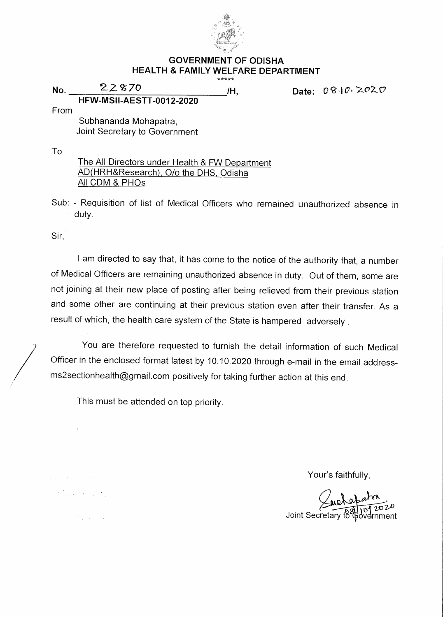

## **GOVERNMENT OF ODISHA HEALTH & FAMILY WELFARE DEPARTMENT**  \*\*\*\*\*

**No. 22870 /H, Date: 08102020 HFW-MSII-AESTT-0012-2020** 

From

Subhananda Mohapatra, Joint Secretary to Government

To

The All Directors under Health & FW Department AD(HRH&Research), 0/o the DHS, Odisha All CDM & PHOs

Sub: - Requisition of list of Medical Officers who remained unauthorized absence in duty.

Sir,

 $\label{eq:2} \mathcal{P}=\frac{1}{2}\left[\begin{array}{cc} 1 & 0 & 0 \\ 0 & 0 & 0 \\ 0 & 0 & 0 \end{array}\right],$ 

 $\mathcal{O}(\frac{1}{2})$  , and  $\mathcal{O}(\frac{1}{2})$ 

I am directed to say that, it has come to the notice of the authority that, a number of Medical Officers are remaining unauthorized absence in duty. Out of them, some are not joining at their new place of posting after being relieved from their previous station and some other are continuing at their previous station even after their transfer. As a result of which, the health care system of the State is hampered adversely .

You are therefore requested to furnish the detail information of such Medical Officer in the enclosed format latest by 10.10.2020 through e-mail in the email addressms2sectionhealth@gmail.com positively for taking further action at this end.

This must be attended on top priority.

Your's faithfully,

Joint Secretary to aþ ovelmment